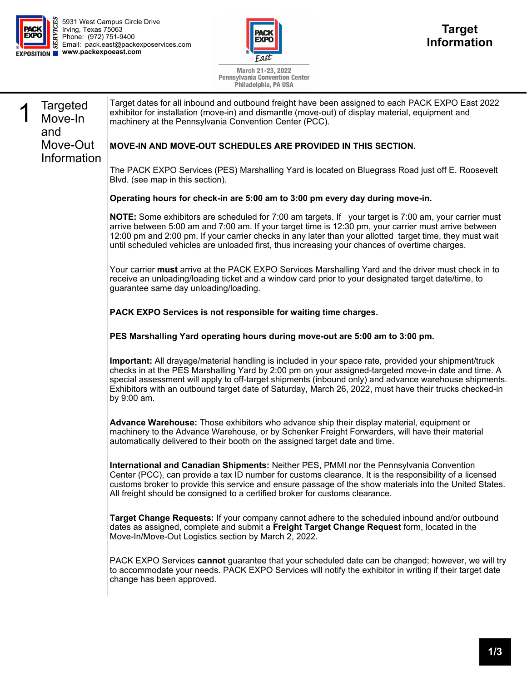



March 21-23, 2022<br>Pennsylvania Convention Center<br>Philadelphia, PA USA

|                                   | т ппачеђина, г м орм                                                                                                                                                                                                                                                                                                                                                                                                                           |
|-----------------------------------|------------------------------------------------------------------------------------------------------------------------------------------------------------------------------------------------------------------------------------------------------------------------------------------------------------------------------------------------------------------------------------------------------------------------------------------------|
| <b>Targeted</b><br>Move-In<br>and | Target dates for all inbound and outbound freight have been assigned to each PACK EXPO East 2022<br>exhibitor for installation (move-in) and dismantle (move-out) of display material, equipment and<br>machinery at the Pennsylvania Convention Center (PCC).                                                                                                                                                                                 |
| Move-Out<br>Information           | <b>MOVE-IN AND MOVE-OUT SCHEDULES ARE PROVIDED IN THIS SECTION.</b>                                                                                                                                                                                                                                                                                                                                                                            |
|                                   | The PACK EXPO Services (PES) Marshalling Yard is located on Bluegrass Road just off E. Roosevelt<br>Blvd. (see map in this section).                                                                                                                                                                                                                                                                                                           |
|                                   | Operating hours for check-in are 5:00 am to 3:00 pm every day during move-in.                                                                                                                                                                                                                                                                                                                                                                  |
|                                   | <b>NOTE:</b> Some exhibitors are scheduled for 7:00 am targets. If your target is 7:00 am, your carrier must<br>arrive between 5:00 am and 7:00 am. If your target time is 12:30 pm, your carrier must arrive between<br>12:00 pm and 2:00 pm. If your carrier checks in any later than your allotted target time, they must wait<br>until scheduled vehicles are unloaded first, thus increasing your chances of overtime charges.            |
|                                   | Your carrier must arrive at the PACK EXPO Services Marshalling Yard and the driver must check in to<br>receive an unloading/loading ticket and a window card prior to your designated target date/time, to<br>guarantee same day unloading/loading.                                                                                                                                                                                            |
|                                   | PACK EXPO Services is not responsible for waiting time charges.                                                                                                                                                                                                                                                                                                                                                                                |
|                                   | PES Marshalling Yard operating hours during move-out are 5:00 am to 3:00 pm.                                                                                                                                                                                                                                                                                                                                                                   |
|                                   | Important: All drayage/material handling is included in your space rate, provided your shipment/truck<br>checks in at the PES Marshalling Yard by 2:00 pm on your assigned-targeted move-in date and time. A<br>special assessment will apply to off-target shipments (inbound only) and advance warehouse shipments.<br>Exhibitors with an outbound target date of Saturday, March 26, 2022, must have their trucks checked-in<br>by 9:00 am. |
|                                   | Advance Warehouse: Those exhibitors who advance ship their display material, equipment or<br>machinery to the Advance Warehouse, or by Schenker Freight Forwarders, will have their material<br>automatically delivered to their booth on the assigned target date and time.                                                                                                                                                                   |
|                                   | International and Canadian Shipments: Neither PES, PMMI nor the Pennsylvania Convention<br>Center (PCC), can provide a tax ID number for customs clearance. It is the responsibility of a licensed<br>customs broker to provide this service and ensure passage of the show materials into the United States.<br>All freight should be consigned to a certified broker for customs clearance.                                                  |
|                                   | Target Change Requests: If your company cannot adhere to the scheduled inbound and/or outbound<br>dates as assigned, complete and submit a Freight Target Change Request form, located in the<br>Move-In/Move-Out Logistics section by March 2, 2022.                                                                                                                                                                                          |
|                                   | PACK EXPO Services cannot guarantee that your scheduled date can be changed; however, we will try<br>to accommodate your needs. PACK EXPO Services will notify the exhibitor in writing if their target date<br>change has been approved.                                                                                                                                                                                                      |
|                                   |                                                                                                                                                                                                                                                                                                                                                                                                                                                |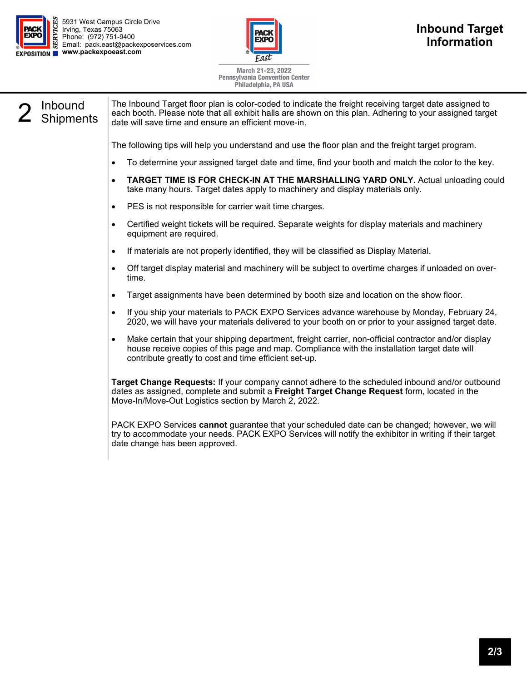



March 21-23, 2022 **Pennsylvania Convention Center** Philadelphia, PA USA

2 Inbound<br>2 Shipments

The Inbound Target floor plan is color-coded to indicate the freight receiving target date assigned to each booth. Please note that all exhibit halls are shown on this plan. Adhering to your assigned target date will save time and ensure an efficient move-in.

The following tips will help you understand and use the floor plan and the freight target program.

- To determine your assigned target date and time, find your booth and match the color to the key.
- **TARGET TIME IS FOR CHECK-IN AT THE MARSHALLING YARD ONLY.** Actual unloading could take many hours. Target dates apply to machinery and display materials only.
- PES is not responsible for carrier wait time charges.
- Certified weight tickets will be required. Separate weights for display materials and machinery equipment are required.
- If materials are not properly identified, they will be classified as Display Material.
- Off target display material and machinery will be subject to overtime charges if unloaded on overtime.
- Target assignments have been determined by booth size and location on the show floor.
- If you ship your materials to PACK EXPO Services advance warehouse by Monday, February 24, 2020, we will have your materials delivered to your booth on or prior to your assigned target date.
- Make certain that your shipping department, freight carrier, non-official contractor and/or display house receive copies of this page and map. Compliance with the installation target date will contribute greatly to cost and time efficient set-up.

**Target Change Requests:** If your company cannot adhere to the scheduled inbound and/or outbound dates as assigned, complete and submit a **Freight Target Change Request** form, located in the Move-In/Move-Out Logistics section by March 2, 2022.

PACK EXPO Services **cannot** guarantee that your scheduled date can be changed; however, we will try to accommodate your needs. PACK EXPO Services will notify the exhibitor in writing if their target date change has been approved.